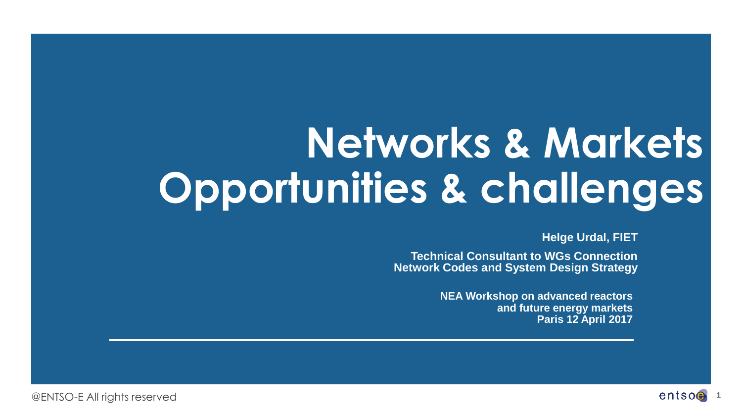# **Networks & Markets Opportunities & challenges**

**Helge Urdal, FIET**

**Technical Consultant to WGs Connection Network Codes and System Design Strategy** 

> **NEA Workshop on advanced reactors and future energy markets Paris 12 April 2017**

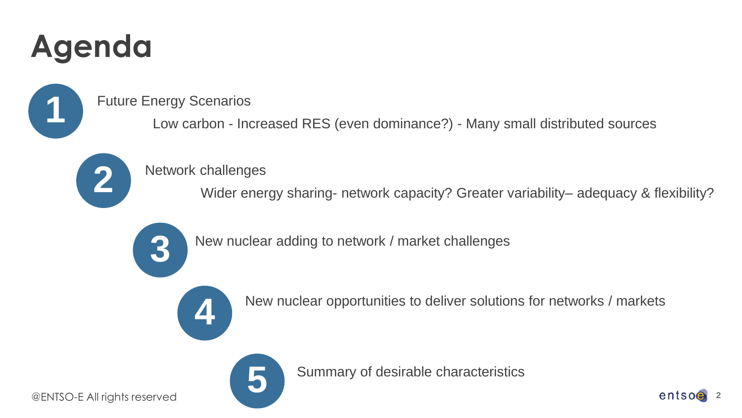## **Agenda**

**1**

**2**

#### Future Energy Scenarios

Low carbon - Increased RES (even dominance?) - Many small distributed sources

Summary of desirable characteristics

#### Network challenges

Wider energy sharing- network capacity? Greater variability– adequacy & flexibility?



New nuclear adding to network / market challenges



New nuclear opportunities to deliver solutions for networks / markets



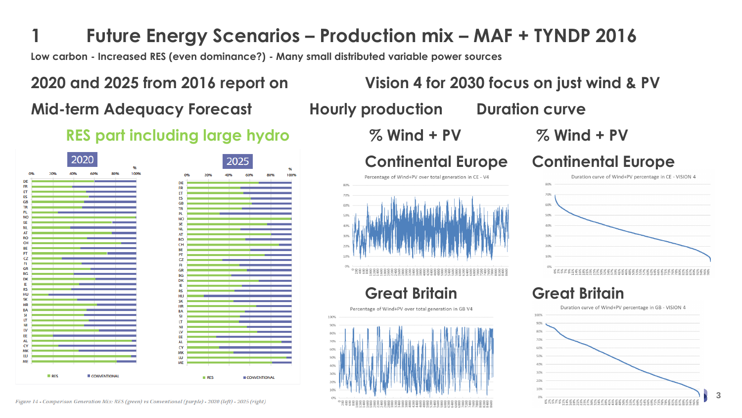### **1 Future Energy Scenarios – Production mix – MAF + TYNDP 2016**

**Low carbon - Increased RES (even dominance?) - Many small distributed variable power sources** 

# **Mid-term Adequacy Forecast Hourly production Duration curve**

#### **RES part including large hydro % Wind + PV % Wind + PV**



**2020 and 2025 from 2016 report on Vision 4 for 2030 focus on just wind & PV**

**Continental Europe Continental Europe**



#### **Great Britain Great Britain**

Percentage of Wind+PV over total generation in GB V4 100% 90% 40%



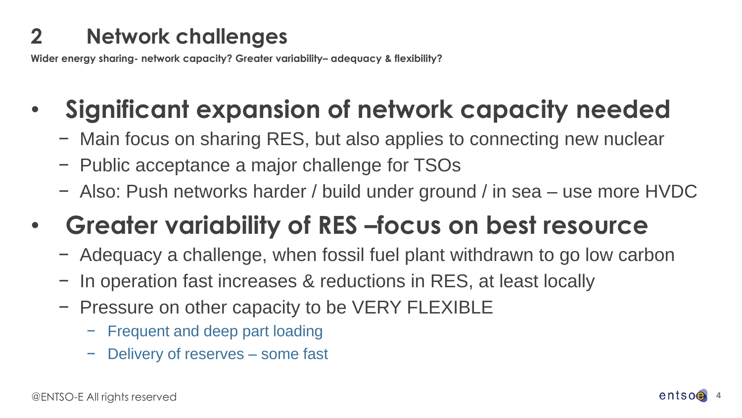### **2 Network challenges**

**Wider energy sharing- network capacity? Greater variability– adequacy & flexibility?**

## • **Significant expansion of network capacity needed**

- − Main focus on sharing RES, but also applies to connecting new nuclear
- − Public acceptance a major challenge for TSOs
- − Also: Push networks harder / build under ground / in sea use more HVDC
- **Greater variability of RES –focus on best resource**
	- − Adequacy a challenge, when fossil fuel plant withdrawn to go low carbon
	- − In operation fast increases & reductions in RES, at least locally
	- − Pressure on other capacity to be VERY FLEXIBLE
		- − Frequent and deep part loading
		- Delivery of reserves some fast

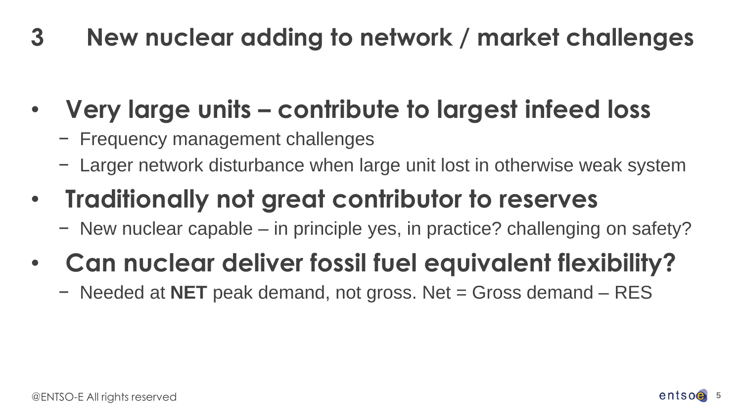**3 New nuclear adding to network / market challenges**

- **Very large units – contribute to largest infeed loss**
	- − Frequency management challenges
	- − Larger network disturbance when large unit lost in otherwise weak system
- **Traditionally not great contributor to reserves**
	- − New nuclear capable in principle yes, in practice? challenging on safety?
- **Can nuclear deliver fossil fuel equivalent flexibility?**
	- − Needed at **NET** peak demand, not gross. Net = Gross demand RES

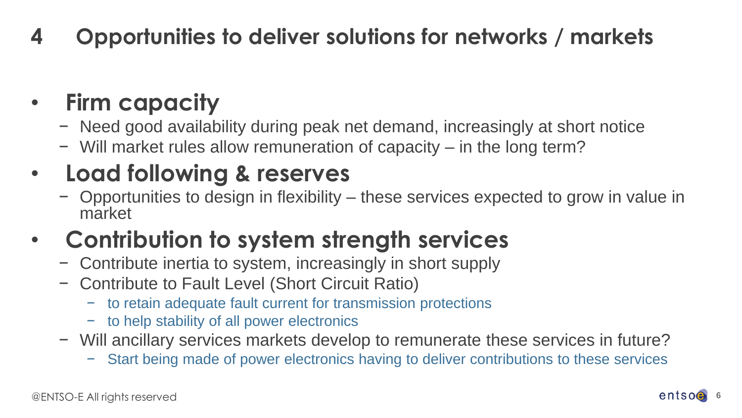## **4 Opportunities to deliver solutions for networks / markets**

## • **Firm capacity**

- − Need good availability during peak net demand, increasingly at short notice
- − Will market rules allow remuneration of capacity in the long term?

## • **Load following & reserves**

− Opportunities to design in flexibility – these services expected to grow in value in market

## • **Contribution to system strength services**

- − Contribute inertia to system, increasingly in short supply
- − Contribute to Fault Level (Short Circuit Ratio)
	- − to retain adequate fault current for transmission protections
	- − to help stability of all power electronics
- − Will ancillary services markets develop to remunerate these services in future?
	- Start being made of power electronics having to deliver contributions to these services

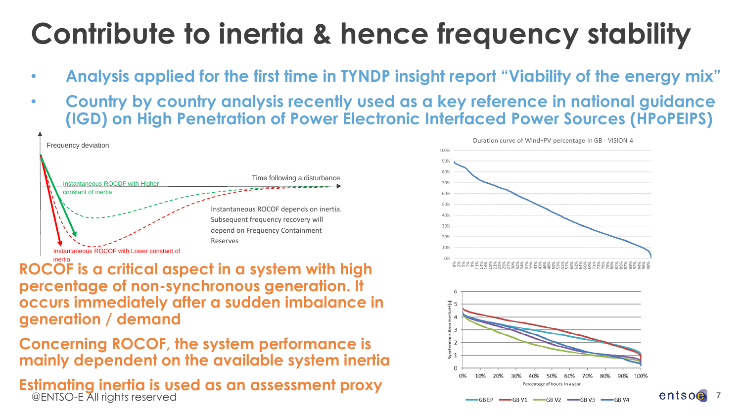## **Contribute to inertia & hence frequency stability**

- **Analysis applied for the first time in TYNDP insight report "Viability of the energy mix"**
- **Country by country analysis recently used as a key reference in national guidance (IGD) on High Penetration of Power Electronic Interfaced Power Sources (HPoPEIPS)**



inertia **ROCOF is a critical aspect in a system with high percentage of non-synchronous generation. It occurs immediately after a sudden imbalance in generation / demand**

**Concerning ROCOF, the system performance is mainly dependent on the available system inertia**

@ENTSO-E All rights reserved **Estimating inertia is used as an assessment proxy**



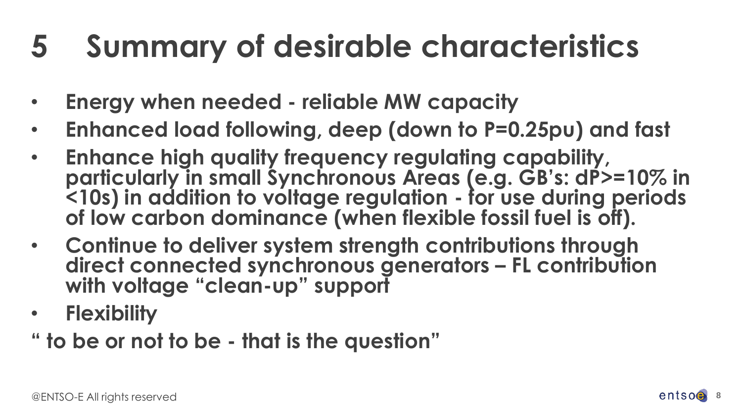# **5 Summary of desirable characteristics**

- **Energy when needed - reliable MW capacity**
- **Enhanced load following, deep (down to P=0.25pu) and fast**
- **Enhance high quality frequency regulating capability, particularly in small Synchronous Areas (e.g. GB's: dP>=10% in <10s) in addition to voltage regulation - for use during periods of low carbon dominance (when flexible fossil fuel is off).**
- **Continue to deliver system strength contributions through direct connected synchronous generators – FL contribution with voltage "clean-up" support**
- **Flexibility**

**" to be or not to be - that is the question"**

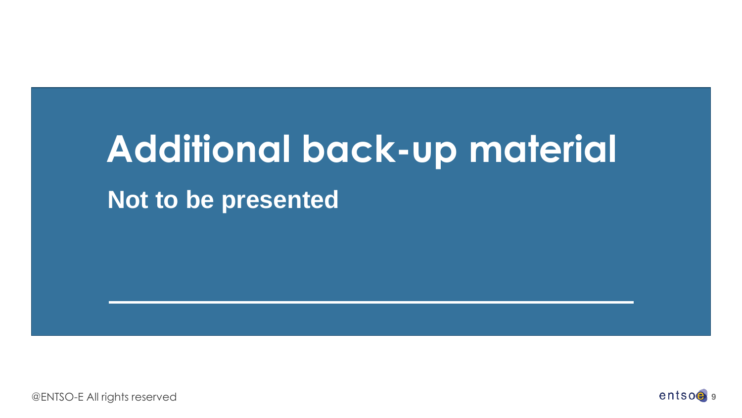# **Additional back-up material**

**Not to be presented**

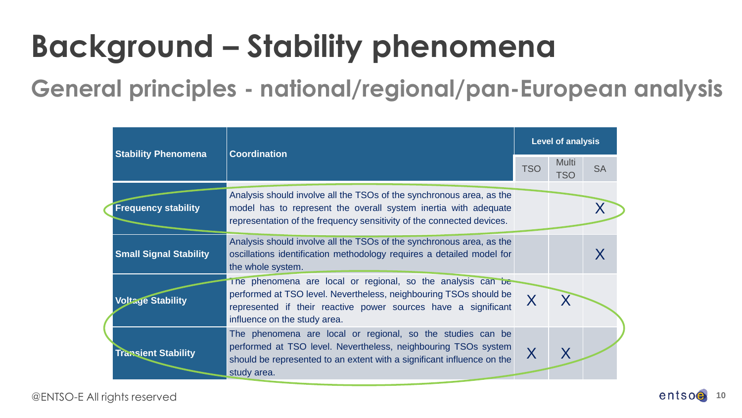# **Background – Stability phenomena**

**General principles - national/regional/pan-European analysis**

| <b>Stability Phenomena</b>    | <b>Coordination</b>                                                                                                                                                                                                                | <b>Level of analysis</b> |                            |           |
|-------------------------------|------------------------------------------------------------------------------------------------------------------------------------------------------------------------------------------------------------------------------------|--------------------------|----------------------------|-----------|
|                               |                                                                                                                                                                                                                                    | <b>TSO</b>               | <b>Multi</b><br><b>TSO</b> | <b>SA</b> |
| <b>Frequency stability</b>    | Analysis should involve all the TSOs of the synchronous area, as the<br>model has to represent the overall system inertia with adequate<br>representation of the frequency sensitivity of the connected devices.                   |                          |                            |           |
| <b>Small Signal Stability</b> | Analysis should involve all the TSOs of the synchronous area, as the<br>oscillations identification methodology requires a detailed model for<br>the whole system.                                                                 |                          |                            |           |
| <b>Voltage Stability</b>      | The phenomena are local or regional, so the analysis can be<br>performed at TSO level. Nevertheless, neighbouring TSOs should be<br>represented if their reactive power sources have a significant<br>influence on the study area. |                          |                            |           |
| <b>Transient Stability</b>    | The phenomena are local or regional, so the studies can be<br>performed at TSO level. Nevertheless, neighbouring TSOs system<br>should be represented to an extent with a significant influence on the<br>study area.              | $\sf X$                  | Χ                          |           |

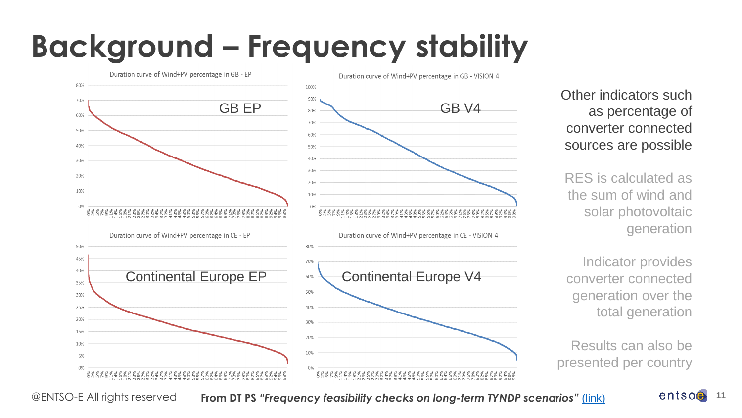## **Background – Frequency stability**



Other indicators such as percentage of converter connected sources are possible

RES is calculated as the sum of wind and solar photovoltaic generation

Indicator provides converter connected generation over the total generation

Results can also be presented per country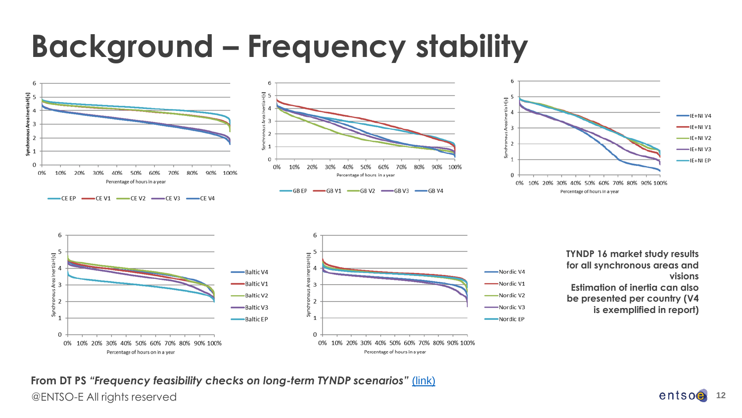## **Background – Frequency stability**









**TYNDP 16 market study results for all synchronous areas and visions Estimation of inertia can also be presented per country (V4 is exemplified in report)** 

@ENTSO-E All rights reserved **12 From DT PS** *"Frequency feasibility checks on long-term TYNDP scenarios"* [\(link\)](https://extra.entsoe.eu/SDC/EPSCC/DT PS/Documents/Frequency Feasibility Checks on Long Term TYNDP Scenarios- 54 SDC approved.pdf)